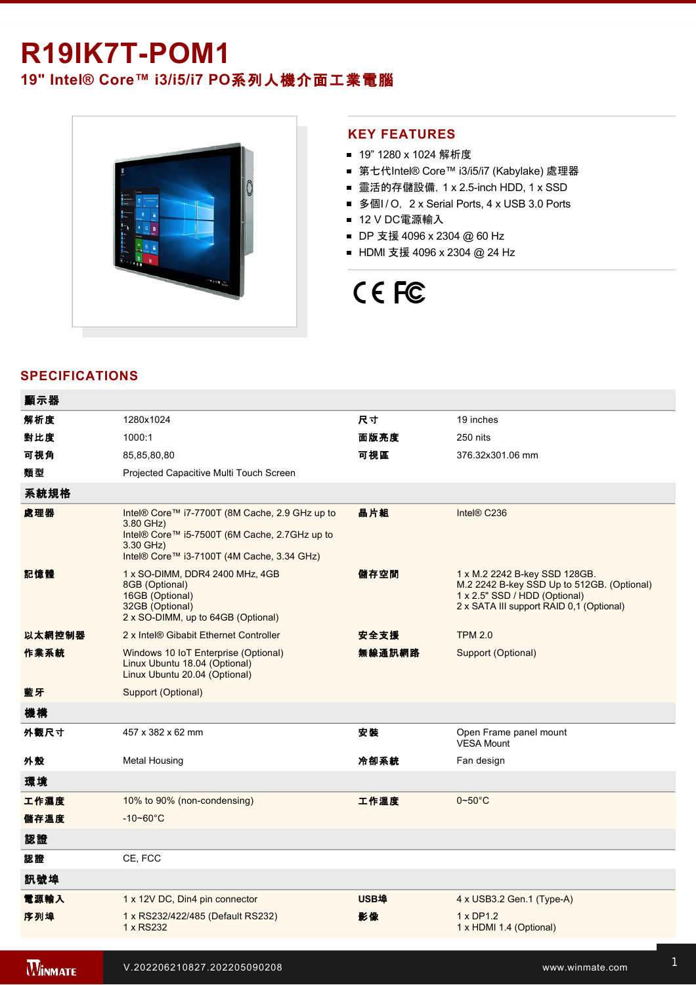## **R19IK7T-POM1**

### **19" Intel® Core™ i3/i5/i7 PO**系列人機介面工業電腦



#### **KEY FEATURES**

- 19" 1280 x 1024 解析度
- 第七代Intel® Core™ i3/i5/i7 (Kabylake) 處理器
- 靈活的存儲設備, 1 x 2.5-inch HDD, 1 x SSD
- 多個I/O, 2 x Serial Ports, 4 x USB 3.0 Ports
- 12 V DC電源輸入
- DP 支援 4096 x 2304 @ 60 Hz
- HDMI 支援 4096 x 2304 @ 24 Hz

# CE FC

#### **SPECIFICATIONS**

| 顯示器    |                                                                                                                                                                         |             |                                                                                                                                                          |
|--------|-------------------------------------------------------------------------------------------------------------------------------------------------------------------------|-------------|----------------------------------------------------------------------------------------------------------------------------------------------------------|
| 解析度    | 1280x1024                                                                                                                                                               | 尺寸          | 19 inches                                                                                                                                                |
| 對比度    | 1000:1                                                                                                                                                                  | 面版亮度        | 250 nits                                                                                                                                                 |
| 可視角    | 85,85,80,80                                                                                                                                                             | 可視區         | 376.32x301.06 mm                                                                                                                                         |
| 類型     | Projected Capacitive Multi Touch Screen                                                                                                                                 |             |                                                                                                                                                          |
| 系統規格   |                                                                                                                                                                         |             |                                                                                                                                                          |
| 處理器    | Intel® Core™ i7-7700T (8M Cache, 2.9 GHz up to<br>3.80 GHz)<br>Intel® Core™ i5-7500T (6M Cache, 2.7GHz up to<br>3.30 GHz)<br>Intel® Core™ i3-7100T (4M Cache, 3.34 GHz) | 晶片組         | Intel® C236                                                                                                                                              |
| 記憶體    | 1 x SO-DIMM, DDR4 2400 MHz, 4GB<br>8GB (Optional)<br>16GB (Optional)<br>32GB (Optional)<br>2 x SO-DIMM, up to 64GB (Optional)                                           | 儲存空間        | 1 x M.2 2242 B-key SSD 128GB.<br>M.2 2242 B-key SSD Up to 512GB. (Optional)<br>1 x 2.5" SSD / HDD (Optional)<br>2 x SATA III support RAID 0,1 (Optional) |
| 以太網控制器 | 2 x Intel® Gibabit Ethernet Controller                                                                                                                                  | 安全支援        | <b>TPM 2.0</b>                                                                                                                                           |
| 作業系統   | Windows 10 IoT Enterprise (Optional)<br>Linux Ubuntu 18.04 (Optional)<br>Linux Ubuntu 20.04 (Optional)                                                                  | 無線通訊網路      | Support (Optional)                                                                                                                                       |
| 藍牙     | Support (Optional)                                                                                                                                                      |             |                                                                                                                                                          |
| 機構     |                                                                                                                                                                         |             |                                                                                                                                                          |
| 外觀尺寸   | 457 x 382 x 62 mm                                                                                                                                                       | 安装          | Open Frame panel mount<br>VESA Mount                                                                                                                     |
| 外殼     | Metal Housing                                                                                                                                                           | 冷卻系統        | Fan design                                                                                                                                               |
| 環境     |                                                                                                                                                                         |             |                                                                                                                                                          |
| 工作濕度   | 10% to 90% (non-condensing)                                                                                                                                             | 工作溫度        | $0\nthicksim50^{\circ}$ C                                                                                                                                |
| 儲存溫度   | $-10 - 60^{\circ}C$                                                                                                                                                     |             |                                                                                                                                                          |
| 認證     |                                                                                                                                                                         |             |                                                                                                                                                          |
| 認證     | CE, FCC                                                                                                                                                                 |             |                                                                                                                                                          |
| 訊號埠    |                                                                                                                                                                         |             |                                                                                                                                                          |
| 電源輸入   | 1 x 12V DC, Din4 pin connector                                                                                                                                          | <b>USB埠</b> | 4 x USB3.2 Gen.1 (Type-A)                                                                                                                                |
| 序列埠    | 1 x RS232/422/485 (Default RS232)<br>1 x RS232                                                                                                                          | 影像          | $1 \times DP1.2$<br>1 x HDMI 1.4 (Optional)                                                                                                              |
|        |                                                                                                                                                                         |             |                                                                                                                                                          |

**WINMATE** 

有線網路 2 x Giga LAN RJ45 Connector 指示燈 1 x LED Indicator for power